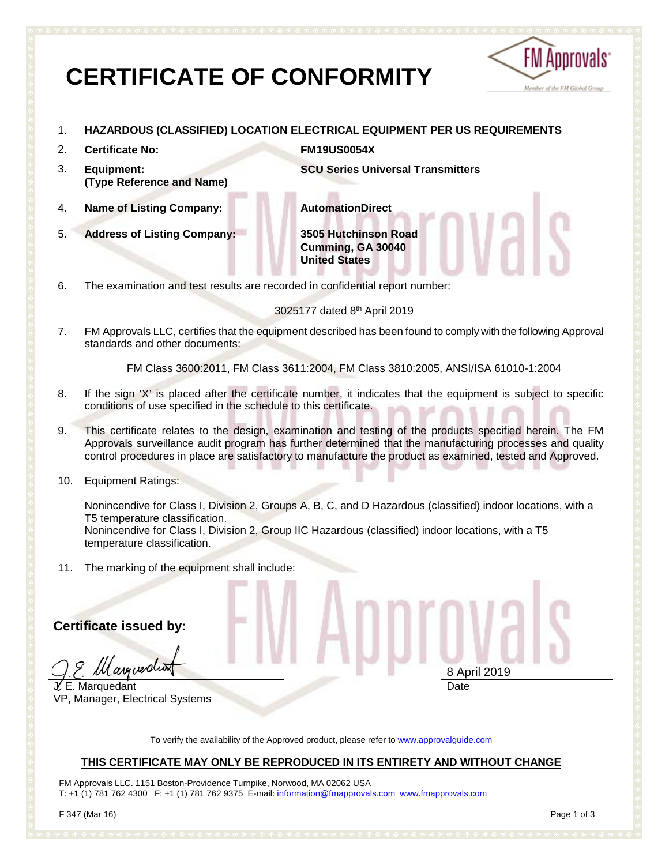# **CERTIFICATE OF CONFORMITY**



- 1. **HAZARDOUS (CLASSIFIED) LOCATION ELECTRICAL EQUIPMENT PER US REQUIREMENTS**
- 2. **Certificate No: FM19US0054X**
- 3. **Equipment: (Type Reference and Name)**

**SCU Series Universal Transmitters**

4. **Name of Listing Company: AutomationDirect**

5. **Address of Listing Company: 3505 Hutchinson Road Cumming, GA 30040 United States**

6. The examination and test results are recorded in confidential report number:

3025177 dated 8th April 2019

7. FM Approvals LLC, certifies that the equipment described has been found to comply with the following Approval standards and other documents:

FM Class 3600:2011, FM Class 3611:2004, FM Class 3810:2005, ANSI/ISA 61010-1:2004

- 8. If the sign 'X' is placed after the certificate number, it indicates that the equipment is subject to specific conditions of use specified in the schedule to this certificate.
- 9. This certificate relates to the design, examination and testing of the products specified herein. The FM Approvals surveillance audit program has further determined that the manufacturing processes and quality control procedures in place are satisfactory to manufacture the product as examined, tested and Approved.
- 10. Equipment Ratings:

Nonincendive for Class I, Division 2, Groups A, B, C, and D Hazardous (classified) indoor locations, with a T5 temperature classification.

Nonincendive for Class I, Division 2, Group IIC Hazardous (classified) indoor locations, with a T5 temperature classification.

11. The marking of the equipment shall include:

**Certificate issued by:**

*ll*l arguerdi

 $L$  E. Marquedant VP, Manager, Electrical Systems

8 April 2019 Date

To verify the availability of the Approved product, please refer to [www.approvalguide.com](http://www.approvalguide.com/)

# **THIS CERTIFICATE MAY ONLY BE REPRODUCED IN ITS ENTIRETY AND WITHOUT CHANGE**

FM Approvals LLC. 1151 Boston-Providence Turnpike, Norwood, MA 02062 USA T: +1 (1) 781 762 4300 F: +1 (1) 781 762 9375 E-mail[: information@fmapprovals.com](mailto:information@fmapprovals.com) [www.fmapprovals.com](http://www.fmapprovals.com/)

F 347 (Mar 16) Page 1 of 3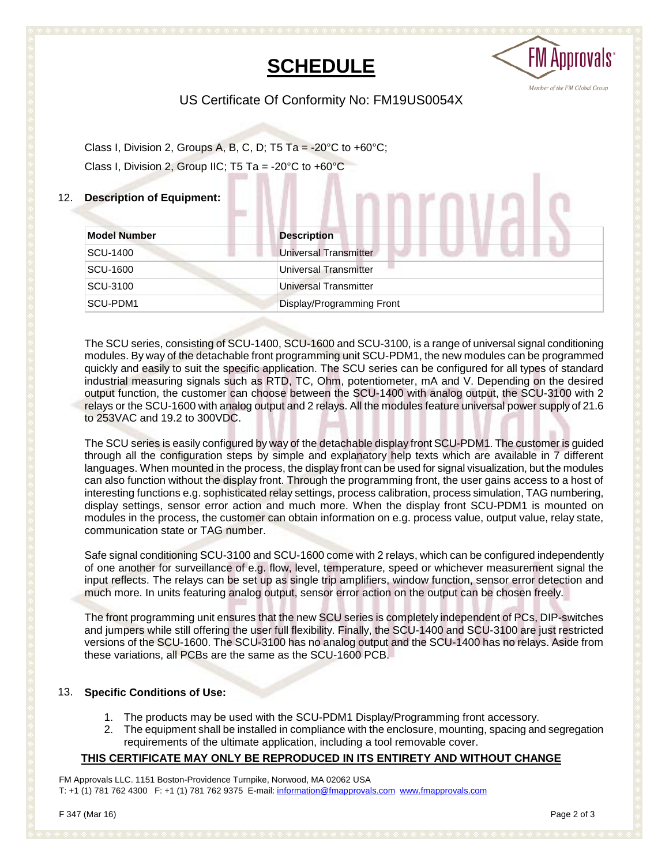# **SCHEDULE**



US Certificate Of Conformity No: FM19US0054X

Class I, Division 2, Groups A, B, C, D; T5 Ta = -20 $\degree$ C to +60 $\degree$ C; Class I, Division 2, Group IIC; T5 Ta = -20 $\degree$ C to +60 $\degree$ C

## 12. **Description of Equipment:**

| <b>Model Number</b> | <b>Description</b>           |
|---------------------|------------------------------|
| SCU-1400            | <b>Universal Transmitter</b> |
| SCU-1600            | Universal Transmitter        |
| SCU-3100            | <b>Universal Transmitter</b> |
| SCU-PDM1            | Display/Programming Front    |

**MMMMMI** 

The SCU series, consisting of SCU-1400, SCU-1600 and SCU-3100, is a range of universal signal conditioning modules. By way of the detachable front programming unit SCU-PDM1, the new modules can be programmed quickly and easily to suit the specific application. The SCU series can be configured for all types of standard industrial measuring signals such as RTD, TC, Ohm, potentiometer, mA and V. Depending on the desired output function, the customer can choose between the SCU-1400 with analog output, the SCU-3100 with 2 relays or the SCU-1600 with analog output and 2 relays. All the modules feature universal power supply of 21.6 to 253VAC and 19.2 to 300VDC.

The SCU series is easily configured by way of the detachable display front SCU-PDM1. The customer is guided through all the configuration steps by simple and explanatory help texts which are available in 7 different languages. When mounted in the process, the display front can be used for signal visualization, but the modules can also function without the display front. Through the programming front, the user gains access to a host of interesting functions e.g. sophisticated relay settings, process calibration, process simulation, TAG numbering, display settings, sensor error action and much more. When the display front SCU-PDM1 is mounted on modules in the process, the customer can obtain information on e.g. process value, output value, relay state, communication state or TAG number.

Safe signal conditioning SCU-3100 and SCU-1600 come with 2 relays, which can be configured independently of one another for surveillance of e.g. flow, level, temperature, speed or whichever measurement signal the input reflects. The relays can be set up as single trip amplifiers, window function, sensor error detection and much more. In units featuring analog output, sensor error action on the output can be chosen freely.

The front programming unit ensures that the new SCU series is completely independent of PCs, DIP-switches and jumpers while still offering the user full flexibility. Finally, the SCU-1400 and SCU-3100 are just restricted versions of the SCU-1600. The SCU-3100 has no analog output and the SCU-1400 has no relays. Aside from these variations, all PCBs are the same as the SCU-1600 PCB.

#### 13. **Specific Conditions of Use:**

- 1. The products may be used with the SCU-PDM1 Display/Programming front accessory.
- 2. The equipment shall be installed in compliance with the enclosure, mounting, spacing and segregation requirements of the ultimate application, including a tool removable cover.

#### **THIS CERTIFICATE MAY ONLY BE REPRODUCED IN ITS ENTIRETY AND WITHOUT CHANGE**

FM Approvals LLC. 1151 Boston-Providence Turnpike, Norwood, MA 02062 USA T: +1 (1) 781 762 4300 F: +1 (1) 781 762 9375 E-mail[: information@fmapprovals.com](mailto:information@fmapprovals.com) [www.fmapprovals.com](http://www.fmapprovals.com/)